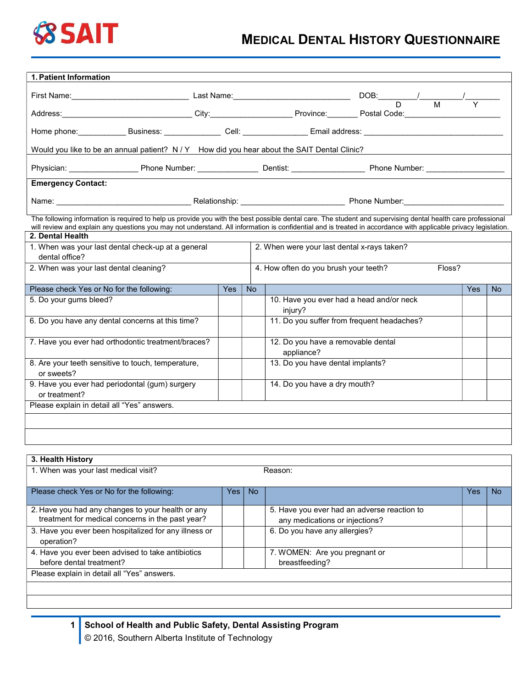

## MEDICAL DENTAL HISTORY QUESTIONNAIRE

| 1. Patient Information                                                                                                                                                                                                                                                                                                          |     |           |                                                     |  |  |     |           |
|---------------------------------------------------------------------------------------------------------------------------------------------------------------------------------------------------------------------------------------------------------------------------------------------------------------------------------|-----|-----------|-----------------------------------------------------|--|--|-----|-----------|
| First Name: $\frac{1}{D}$ Last Name: $\frac{1}{D}$ DOB: $\frac{1}{D}$ M                                                                                                                                                                                                                                                         |     |           |                                                     |  |  |     |           |
| Address:________________________________City:______________________Province:_________Postal Code:________                                                                                                                                                                                                                       |     |           |                                                     |  |  |     |           |
|                                                                                                                                                                                                                                                                                                                                 |     |           |                                                     |  |  |     |           |
| Would you like to be an annual patient? N / Y How did you hear about the SAIT Dental Clinic?                                                                                                                                                                                                                                    |     |           |                                                     |  |  |     |           |
|                                                                                                                                                                                                                                                                                                                                 |     |           |                                                     |  |  |     |           |
| <b>Emergency Contact:</b>                                                                                                                                                                                                                                                                                                       |     |           |                                                     |  |  |     |           |
|                                                                                                                                                                                                                                                                                                                                 |     |           |                                                     |  |  |     |           |
| The following information is required to help us provide you with the best possible dental care. The student and supervising dental health care professional<br>will review and explain any questions you may not understand. All information is confidential and is treated in accordance with applicable privacy legislation. |     |           |                                                     |  |  |     |           |
| 2. Dental Health                                                                                                                                                                                                                                                                                                                |     |           |                                                     |  |  |     |           |
| 1. When was your last dental check-up at a general<br>2. When were your last dental x-rays taken?                                                                                                                                                                                                                               |     |           |                                                     |  |  |     |           |
| dental office?                                                                                                                                                                                                                                                                                                                  |     |           |                                                     |  |  |     |           |
| 2. When was your last dental cleaning?                                                                                                                                                                                                                                                                                          |     |           | 4. How often do you brush your teeth?<br>Floss?     |  |  |     |           |
| Please check Yes or No for the following:                                                                                                                                                                                                                                                                                       | Yes | <b>No</b> |                                                     |  |  | Yes | <b>No</b> |
| 5. Do your gums bleed?                                                                                                                                                                                                                                                                                                          |     |           | 10. Have you ever had a head and/or neck<br>injury? |  |  |     |           |
| 6. Do you have any dental concerns at this time?                                                                                                                                                                                                                                                                                |     |           | 11. Do you suffer from frequent headaches?          |  |  |     |           |
| 7. Have you ever had orthodontic treatment/braces?                                                                                                                                                                                                                                                                              |     |           | 12. Do you have a removable dental<br>appliance?    |  |  |     |           |
| 8. Are your teeth sensitive to touch, temperature,<br>or sweets?                                                                                                                                                                                                                                                                |     |           | 13. Do you have dental implants?                    |  |  |     |           |
| 9. Have you ever had periodontal (gum) surgery<br>or treatment?                                                                                                                                                                                                                                                                 |     |           | 14. Do you have a dry mouth?                        |  |  |     |           |
| Please explain in detail all "Yes" answers.                                                                                                                                                                                                                                                                                     |     |           |                                                     |  |  |     |           |
|                                                                                                                                                                                                                                                                                                                                 |     |           |                                                     |  |  |     |           |
|                                                                                                                                                                                                                                                                                                                                 |     |           |                                                     |  |  |     |           |

| 3. Health History                                     |      |           |                                             |     |     |
|-------------------------------------------------------|------|-----------|---------------------------------------------|-----|-----|
| 1. When was your last medical visit?<br>Reason:       |      |           |                                             |     |     |
|                                                       |      |           |                                             |     |     |
| Please check Yes or No for the following:             | Yes: | <b>No</b> |                                             | Yes | No. |
| 2. Have you had any changes to your health or any     |      |           | 5. Have you ever had an adverse reaction to |     |     |
| treatment for medical concerns in the past year?      |      |           | any medications or injections?              |     |     |
| 3. Have you ever been hospitalized for any illness or |      |           | 6. Do you have any allergies?               |     |     |
| operation?                                            |      |           |                                             |     |     |
| 4. Have you ever been advised to take antibiotics     |      |           | 7. WOMEN: Are you pregnant or               |     |     |
| before dental treatment?                              |      |           | breastfeeding?                              |     |     |
| Please explain in detail all "Yes" answers.           |      |           |                                             |     |     |
|                                                       |      |           |                                             |     |     |
|                                                       |      |           |                                             |     |     |

1 School of Health and Public Safety, Dental Assisting Program © 2016, Southern Alberta Institute of Technology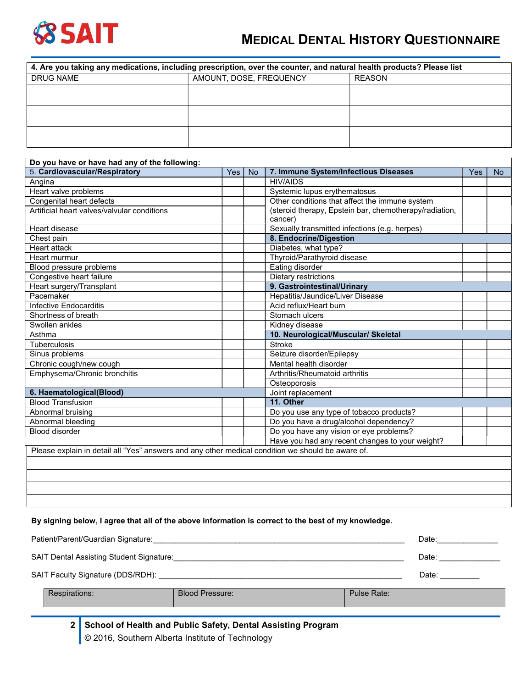

## MEDICAL DENTAL HISTORY QUESTIONNAIRE

| 4. Are you taking any medications, including prescription, over the counter, and natural health products? Please list |                         |        |  |  |  |  |  |  |
|-----------------------------------------------------------------------------------------------------------------------|-------------------------|--------|--|--|--|--|--|--|
| DRUG NAME                                                                                                             | AMOUNT, DOSE, FREQUENCY | REASON |  |  |  |  |  |  |
|                                                                                                                       |                         |        |  |  |  |  |  |  |
|                                                                                                                       |                         |        |  |  |  |  |  |  |
|                                                                                                                       |                         |        |  |  |  |  |  |  |
|                                                                                                                       |                         |        |  |  |  |  |  |  |
|                                                                                                                       |                         |        |  |  |  |  |  |  |
|                                                                                                                       |                         |        |  |  |  |  |  |  |

| Do you have or have had any of the following:                                                     |     |                                                        |                                                 |     |           |
|---------------------------------------------------------------------------------------------------|-----|--------------------------------------------------------|-------------------------------------------------|-----|-----------|
| 5. Cardiovascular/Respiratory                                                                     | Yes | <b>No</b>                                              | 7. Immune System/Infectious Diseases            | Yes | <b>No</b> |
| Angina                                                                                            |     |                                                        | <b>HIV/AIDS</b>                                 |     |           |
| Heart valve problems                                                                              |     |                                                        | Systemic lupus erythematosus                    |     |           |
| Congenital heart defects                                                                          |     |                                                        | Other conditions that affect the immune system  |     |           |
| Artificial heart valves/valvular conditions                                                       |     | (steroid therapy, Epstein bar, chemotherapy/radiation, |                                                 |     |           |
|                                                                                                   |     |                                                        | cancer)                                         |     |           |
| Heart disease                                                                                     |     |                                                        | Sexually transmitted infections (e.g. herpes)   |     |           |
| Chest pain                                                                                        |     |                                                        | 8. Endocrine/Digestion                          |     |           |
| <b>Heart attack</b>                                                                               |     |                                                        | Diabetes, what type?                            |     |           |
| Heart murmur                                                                                      |     |                                                        | Thyroid/Parathyroid disease                     |     |           |
| Blood pressure problems                                                                           |     |                                                        | Eating disorder                                 |     |           |
| Congestive heart failure                                                                          |     |                                                        | Dietary restrictions                            |     |           |
| Heart surgery/Transplant                                                                          |     | 9. Gastrointestinal/Urinary                            |                                                 |     |           |
| Pacemaker                                                                                         |     |                                                        | Hepatitis/Jaundice/Liver Disease                |     |           |
| Infective Endocarditis                                                                            |     |                                                        | Acid reflux/Heart burn                          |     |           |
| Shortness of breath                                                                               |     |                                                        | Stomach ulcers                                  |     |           |
| Swollen ankles                                                                                    |     |                                                        | Kidney disease                                  |     |           |
| Asthma                                                                                            |     |                                                        | 10. Neurological/Muscular/ Skeletal             |     |           |
| <b>Tuberculosis</b>                                                                               |     |                                                        | <b>Stroke</b>                                   |     |           |
| Sinus problems                                                                                    |     |                                                        | Seizure disorder/Epilepsy                       |     |           |
| Chronic cough/new cough                                                                           |     |                                                        | Mental health disorder                          |     |           |
| Emphysema/Chronic bronchitis                                                                      |     |                                                        | Arthritis/Rheumatoid arthritis                  |     |           |
|                                                                                                   |     |                                                        | Osteoporosis                                    |     |           |
| 6. Haematological(Blood)                                                                          |     |                                                        | Joint replacement                               |     |           |
| <b>Blood Transfusion</b>                                                                          |     |                                                        | 11. Other                                       |     |           |
| Abnormal bruising                                                                                 |     |                                                        | Do you use any type of tobacco products?        |     |           |
| Abnormal bleeding                                                                                 |     |                                                        | Do you have a drug/alcohol dependency?          |     |           |
| Blood disorder                                                                                    |     |                                                        | Do you have any vision or eye problems?         |     |           |
|                                                                                                   |     |                                                        | Have you had any recent changes to your weight? |     |           |
| Please explain in detail all "Yes" answers and any other medical condition we should be aware of. |     |                                                        |                                                 |     |           |
|                                                                                                   |     |                                                        |                                                 |     |           |
|                                                                                                   |     |                                                        |                                                 |     |           |
|                                                                                                   |     |                                                        |                                                 |     |           |
|                                                                                                   |     |                                                        |                                                 |     |           |
|                                                                                                   |     |                                                        |                                                 |     |           |

## By signing below, I agree that all of the above information is correct to the best of my knowledge.

| SAIT Dental Assisting Student Signature:                     | Date:                  |             |       |
|--------------------------------------------------------------|------------------------|-------------|-------|
| SAIT Faculty Signature (DDS/RDH): __________________________ |                        |             | Date: |
| Respirations:                                                | <b>Blood Pressure:</b> | Pulse Rate: |       |

2 School of Health and Public Safety, Dental Assisting Program © 2016, Southern Alberta Institute of Technology